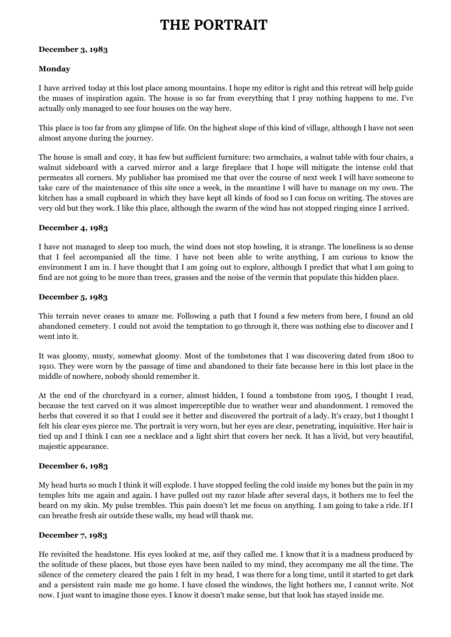# **THE PORTRAIT**

#### **December 3, 1983**

## **Monday**

I have arrived today at this lost place among mountains. I hope my editor is right and this retreat will help guide the muses of inspiration again. The house is so far from everything that I pray nothing happens to me. I've actually only managed to see four houses on the way here.

This place is too far from any glimpse of life. On the highest slope of this kind of village, although I have not seen almost anyone during the journey.

The house is small and cozy, it has few but sufficient furniture: two armchairs, a walnut table with four chairs, a walnut sideboard with a carved mirror and a large fireplace that I hope will mitigate the intense cold that permeates all corners. My publisher has promised me that over the course of next week I will have someone to take care of the maintenance of this site once a week, in the meantime I will have to manage on my own. The kitchen has a small cupboard in which they have kept all kinds of food so I can focus on writing. The stoves are very old but they work. I like this place, although the swarm of the wind has not stopped ringing since I arrived.

# **December 4, 1983**

I have not managed to sleep too much, the wind does not stop howling, it is strange. The loneliness is so dense that I feel accompanied all the time. I have not been able to write anything, I am curious to know the environment I am in. I have thought that I am going out to explore, although I predict that what I am going to find are not going to be more than trees, grasses and the noise of the vermin that populate this hidden place.

#### **December 5, 1983**

This terrain never ceases to amaze me. Following a path that I found a few meters from here, I found an old abandoned cemetery. I could not avoid the temptation to go through it, there was nothing else to discover and I went into it.

It was gloomy, musty, somewhat gloomy. Most of the tombstones that I was discovering dated from 1800 to 1910. They were worn by the passage of time and abandoned to their fate because here in this lost place in the middle of nowhere, nobody should remember it.

At the end of the churchyard in a corner, almost hidden, I found a tombstone from 1905, I thought I read, because the text carved on it was almost imperceptible due to weather wear and abandonment. I removed the herbs that covered it so that I could see it better and discovered the portrait of a lady. It's crazy, but I thought I felt his clear eyes pierce me. The portrait is very worn, but her eyes are clear, penetrating, inquisitive. Her hair is tied up and I think I can see a necklace and a light shirt that covers her neck. It has a livid, but very beautiful, majestic appearance.

#### **December 6, 1983**

My head hurts so much I think it will explode. I have stopped feeling the cold inside my bones but the pain in my temples hits me again and again. I have pulled out my razor blade after several days, it bothers me to feel the beard on my skin. My pulse trembles. This pain doesn't let me focus on anything. I am going to take a ride. If I can breathe fresh air outside these walls, my head will thank me.

#### **December 7, 1983**

He revisited the headstone. His eyes looked at me, asif they called me. I know that it is a madness produced by the solitude of these places, but those eyes have been nailed to my mind, they accompany me all the time. The silence of the cemetery cleared the pain I felt in my head, I was there for a long time, until it started to get dark and a persistent rain made me go home. I have closed the windows, the light bothers me, I cannot write. Not now. I just want to imagine those eyes. I know it doesn't make sense, but that look has stayed inside me.